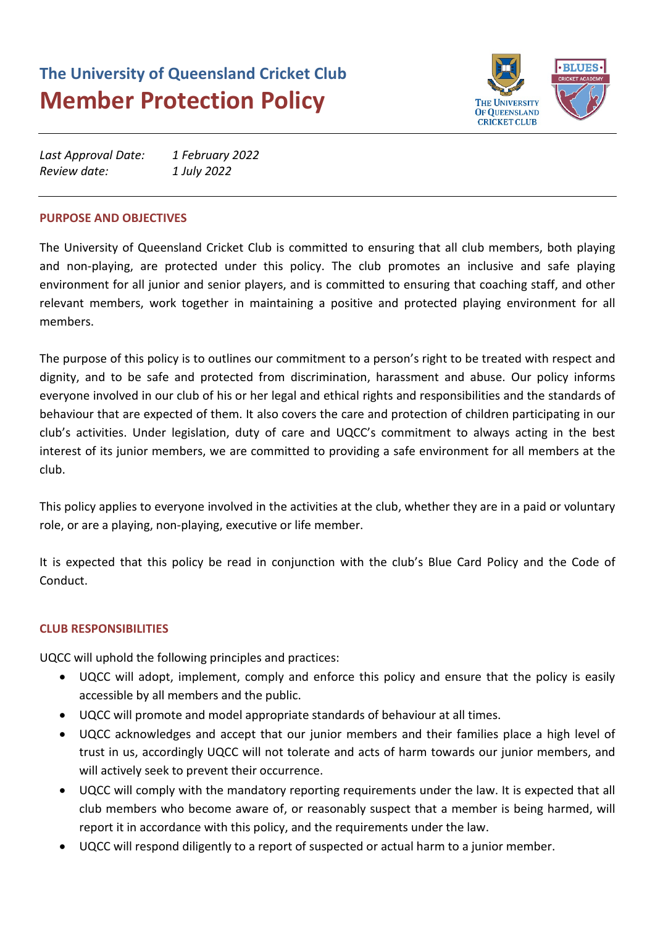# **The University of Queensland Cricket Club Member Protection Policy**



| Last Approval Date: | 1 February 2022 |
|---------------------|-----------------|
| Review date:        | 1 July 2022     |

#### **PURPOSE AND OBJECTIVES**

The University of Queensland Cricket Club is committed to ensuring that all club members, both playing and non-playing, are protected under this policy. The club promotes an inclusive and safe playing environment for all junior and senior players, and is committed to ensuring that coaching staff, and other relevant members, work together in maintaining a positive and protected playing environment for all members.

The purpose of this policy is to outlines our commitment to a person's right to be treated with respect and dignity, and to be safe and protected from discrimination, harassment and abuse. Our policy informs everyone involved in our club of his or her legal and ethical rights and responsibilities and the standards of behaviour that are expected of them. It also covers the care and protection of children participating in our club's activities. Under legislation, duty of care and UQCC's commitment to always acting in the best interest of its junior members, we are committed to providing a safe environment for all members at the club.

This policy applies to everyone involved in the activities at the club, whether they are in a paid or voluntary role, or are a playing, non-playing, executive or life member.

It is expected that this policy be read in conjunction with the club's Blue Card Policy and the Code of Conduct.

## **CLUB RESPONSIBILITIES**

UQCC will uphold the following principles and practices:

- UQCC will adopt, implement, comply and enforce this policy and ensure that the policy is easily accessible by all members and the public.
- UQCC will promote and model appropriate standards of behaviour at all times.
- UQCC acknowledges and accept that our junior members and their families place a high level of trust in us, accordingly UQCC will not tolerate and acts of harm towards our junior members, and will actively seek to prevent their occurrence.
- UQCC will comply with the mandatory reporting requirements under the law. It is expected that all club members who become aware of, or reasonably suspect that a member is being harmed, will report it in accordance with this policy, and the requirements under the law.
- UQCC will respond diligently to a report of suspected or actual harm to a junior member.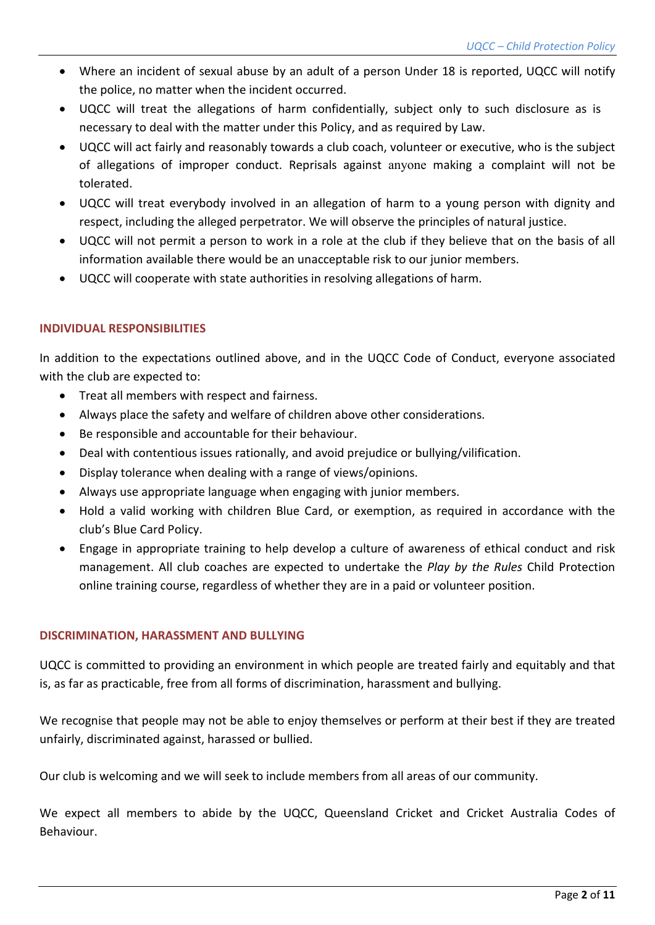- Where an incident of sexual abuse by an adult of a person Under 18 is reported, UQCC will notify the police, no matter when the incident occurred.
- UQCC will treat the allegations of harm confidentially, subject only to such disclosure as is necessary to deal with the matter under this Policy, and as required by Law.
- UQCC will act fairly and reasonably towards a club coach, volunteer or executive, who is the subject of allegations of improper conduct. Reprisals against anyone making a complaint will not be tolerated.
- UQCC will treat everybody involved in an allegation of harm to a young person with dignity and respect, including the alleged perpetrator. We will observe the principles of natural justice.
- UQCC will not permit a person to work in a role at the club if they believe that on the basis of all information available there would be an unacceptable risk to our junior members.
- UQCC will cooperate with state authorities in resolving allegations of harm.

# **INDIVIDUAL RESPONSIBILITIES**

In addition to the expectations outlined above, and in the UQCC Code of Conduct, everyone associated with the club are expected to:

- Treat all members with respect and fairness.
- Always place the safety and welfare of children above other considerations.
- Be responsible and accountable for their behaviour.
- Deal with contentious issues rationally, and avoid prejudice or bullying/vilification.
- Display tolerance when dealing with a range of views/opinions.
- Always use appropriate language when engaging with junior members.
- Hold a valid working with children Blue Card, or exemption, as required in accordance with the club's Blue Card Policy.
- Engage in appropriate training to help develop a culture of awareness of ethical conduct and risk management. All club coaches are expected to undertake the *Play by the Rules* Child Protection online training course, regardless of whether they are in a paid or volunteer position.

## **DISCRIMINATION, HARASSMENT AND BULLYING**

UQCC is committed to providing an environment in which people are treated fairly and equitably and that is, as far as practicable, free from all forms of discrimination, harassment and bullying.

We recognise that people may not be able to enjoy themselves or perform at their best if they are treated unfairly, discriminated against, harassed or bullied.

Our club is welcoming and we will seek to include members from all areas of our community.

We expect all members to abide by the UQCC, Queensland Cricket and Cricket Australia Codes of Behaviour.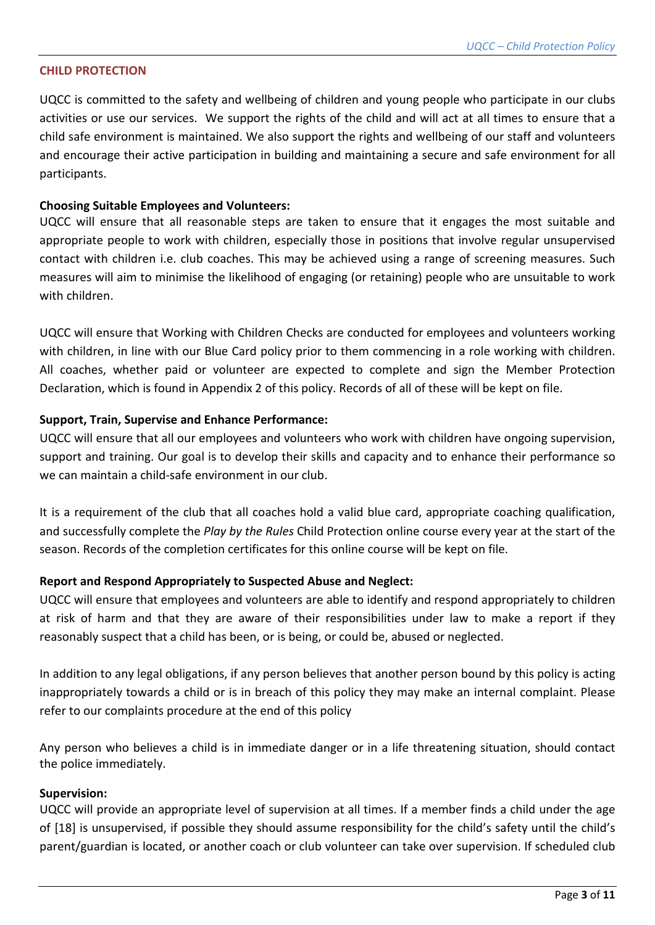## **CHILD PROTECTION**

UQCC is committed to the safety and wellbeing of children and young people who participate in our clubs activities or use our services. We support the rights of the child and will act at all times to ensure that a child safe environment is maintained. We also support the rights and wellbeing of our staff and volunteers and encourage their active participation in building and maintaining a secure and safe environment for all participants.

## **Choosing Suitable Employees and Volunteers:**

UQCC will ensure that all reasonable steps are taken to ensure that it engages the most suitable and appropriate people to work with children, especially those in positions that involve regular unsupervised contact with children i.e. club coaches. This may be achieved using a range of screening measures. Such measures will aim to minimise the likelihood of engaging (or retaining) people who are unsuitable to work with children.

UQCC will ensure that Working with Children Checks are conducted for employees and volunteers working with children, in line with our Blue Card policy prior to them commencing in a role working with children. All coaches, whether paid or volunteer are expected to complete and sign the Member Protection Declaration, which is found in Appendix 2 of this policy. Records of all of these will be kept on file.

#### **Support, Train, Supervise and Enhance Performance:**

UQCC will ensure that all our employees and volunteers who work with children have ongoing supervision, support and training. Our goal is to develop their skills and capacity and to enhance their performance so we can maintain a child-safe environment in our club.

It is a requirement of the club that all coaches hold a valid blue card, appropriate coaching qualification, and successfully complete the *Play by the Rules* Child Protection online course every year at the start of the season. Records of the completion certificates for this online course will be kept on file.

#### **Report and Respond Appropriately to Suspected Abuse and Neglect:**

UQCC will ensure that employees and volunteers are able to identify and respond appropriately to children at risk of harm and that they are aware of their responsibilities under law to make a report if they reasonably suspect that a child has been, or is being, or could be, abused or neglected.

In addition to any legal obligations, if any person believes that another person bound by this policy is acting inappropriately towards a child or is in breach of this policy they may make an internal complaint. Please refer to our complaints procedure at the end of this policy

Any person who believes a child is in immediate danger or in a life threatening situation, should contact the police immediately.

#### **Supervision:**

UQCC will provide an appropriate level of supervision at all times. If a member finds a child under the age of [18] is unsupervised, if possible they should assume responsibility for the child's safety until the child's parent/guardian is located, or another coach or club volunteer can take over supervision. If scheduled club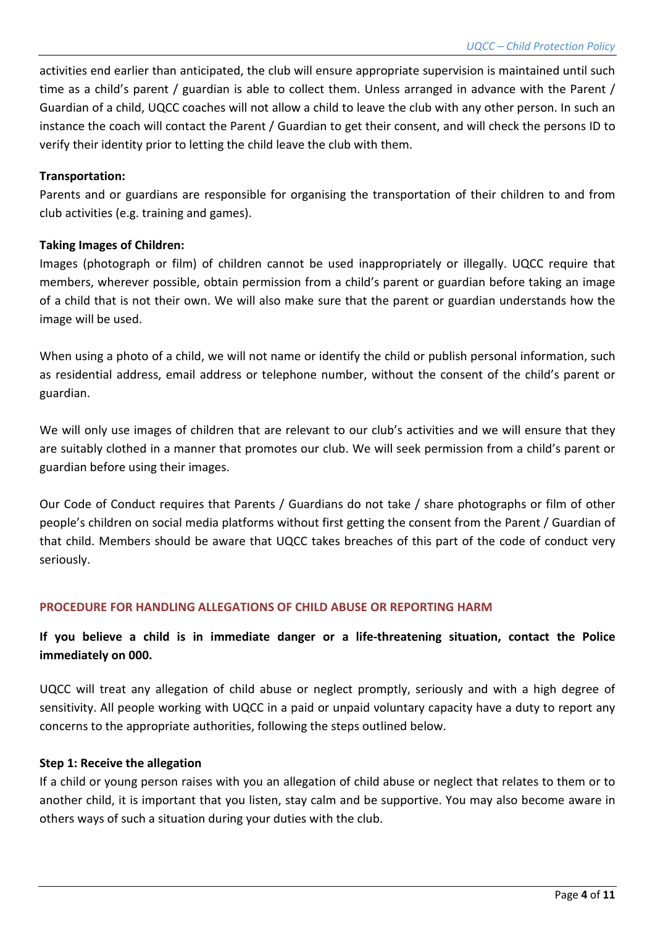activities end earlier than anticipated, the club will ensure appropriate supervision is maintained until such time as a child's parent / guardian is able to collect them. Unless arranged in advance with the Parent / Guardian of a child, UQCC coaches will not allow a child to leave the club with any other person. In such an instance the coach will contact the Parent / Guardian to get their consent, and will check the persons ID to verify their identity prior to letting the child leave the club with them.

## **Transportation:**

Parents and or guardians are responsible for organising the transportation of their children to and from club activities (e.g. training and games).

# **Taking Images of Children:**

Images (photograph or film) of children cannot be used inappropriately or illegally. UQCC require that members, wherever possible, obtain permission from a child's parent or guardian before taking an image of a child that is not their own. We will also make sure that the parent or guardian understands how the image will be used.

When using a photo of a child, we will not name or identify the child or publish personal information, such as residential address, email address or telephone number, without the consent of the child's parent or guardian.

We will only use images of children that are relevant to our club's activities and we will ensure that they are suitably clothed in a manner that promotes our club. We will seek permission from a child's parent or guardian before using their images.

Our Code of Conduct requires that Parents / Guardians do not take / share photographs or film of other people's children on social media platforms without first getting the consent from the Parent / Guardian of that child. Members should be aware that UQCC takes breaches of this part of the code of conduct very seriously.

# **PROCEDURE FOR HANDLING ALLEGATIONS OF CHILD ABUSE OR REPORTING HARM**

# **If you believe a child is in immediate danger or a life-threatening situation, contact the Police immediately on 000.**

UQCC will treat any allegation of child abuse or neglect promptly, seriously and with a high degree of sensitivity. All people working with UQCC in a paid or unpaid voluntary capacity have a duty to report any concerns to the appropriate authorities, following the steps outlined below.

## **Step 1: Receive the allegation**

If a child or young person raises with you an allegation of child abuse or neglect that relates to them or to another child, it is important that you listen, stay calm and be supportive. You may also become aware in others ways of such a situation during your duties with the club.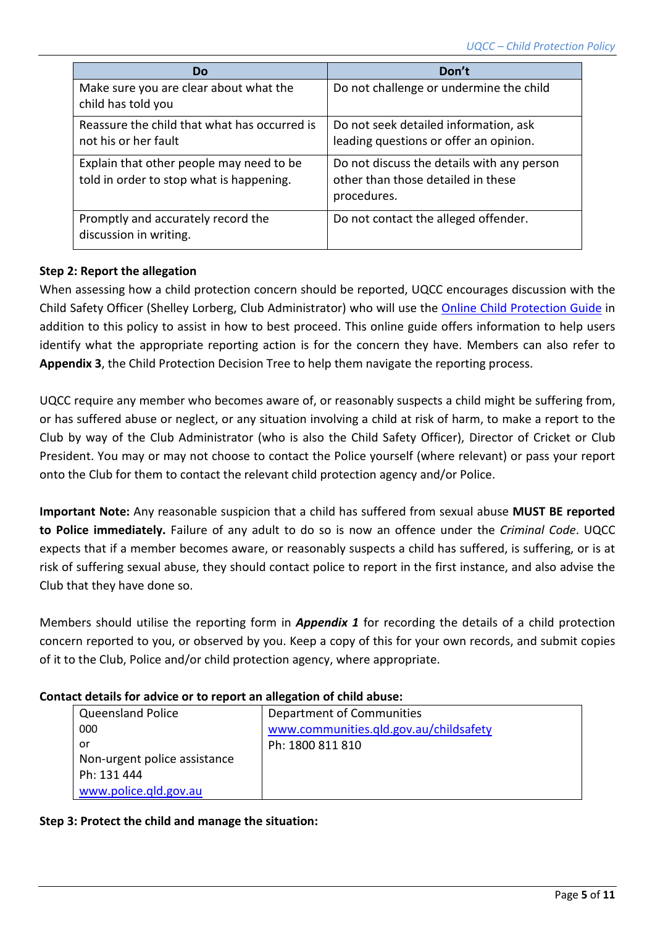| Do                                                                                   | Don't                                                                                           |
|--------------------------------------------------------------------------------------|-------------------------------------------------------------------------------------------------|
| Make sure you are clear about what the<br>child has told you                         | Do not challenge or undermine the child                                                         |
| Reassure the child that what has occurred is<br>not his or her fault                 | Do not seek detailed information, ask<br>leading questions or offer an opinion.                 |
| Explain that other people may need to be<br>told in order to stop what is happening. | Do not discuss the details with any person<br>other than those detailed in these<br>procedures. |
| Promptly and accurately record the<br>discussion in writing.                         | Do not contact the alleged offender.                                                            |

# **Step 2: Report the allegation**

When assessing how a child protection concern should be reported, UQCC encourages discussion with the Child Safety Officer (Shelley Lorberg, Club Administrator) who will use the [Online Child Protection Guide](https://secure.communities.qld.gov.au/cpguide/engine.aspx) in addition to this policy to assist in how to best proceed. This online guide offers information to help users identify what the appropriate reporting action is for the concern they have. Members can also refer to **Appendix 3**, the Child Protection Decision Tree to help them navigate the reporting process.

UQCC require any member who becomes aware of, or reasonably suspects a child might be suffering from, or has suffered abuse or neglect, or any situation involving a child at risk of harm, to make a report to the Club by way of the Club Administrator (who is also the Child Safety Officer), Director of Cricket or Club President. You may or may not choose to contact the Police yourself (where relevant) or pass your report onto the Club for them to contact the relevant child protection agency and/or Police.

**Important Note:** Any reasonable suspicion that a child has suffered from sexual abuse **MUST BE reported to Police immediately.** Failure of any adult to do so is now an offence under the *Criminal Code*. UQCC expects that if a member becomes aware, or reasonably suspects a child has suffered, is suffering, or is at risk of suffering sexual abuse, they should contact police to report in the first instance, and also advise the Club that they have done so.

Members should utilise the reporting form in *Appendix 1* for recording the details of a child protection concern reported to you, or observed by you. Keep a copy of this for your own records, and submit copies of it to the Club, Police and/or child protection agency, where appropriate.

| <b>Queensland Police</b>     | Department of Communities              |
|------------------------------|----------------------------------------|
| 000                          | www.communities.qld.gov.au/childsafety |
| or                           | Ph: 1800 811 810                       |
| Non-urgent police assistance |                                        |
| Ph: 131 444                  |                                        |
| www.police.qld.gov.au        |                                        |

# **Step 3: Protect the child and manage the situation:**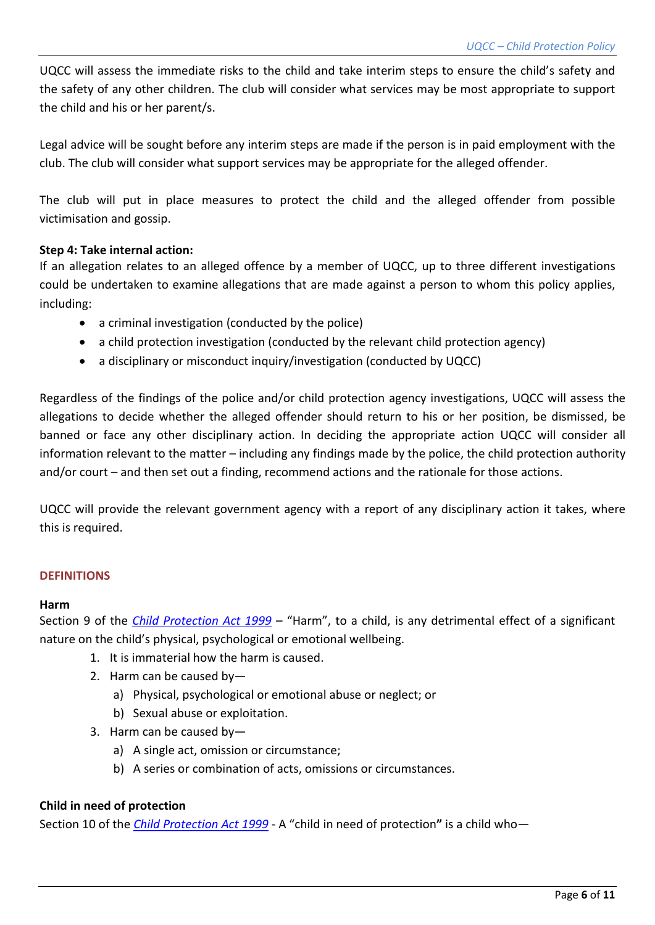UQCC will assess the immediate risks to the child and take interim steps to ensure the child's safety and the safety of any other children. The club will consider what services may be most appropriate to support the child and his or her parent/s.

Legal advice will be sought before any interim steps are made if the person is in paid employment with the club. The club will consider what support services may be appropriate for the alleged offender.

The club will put in place measures to protect the child and the alleged offender from possible victimisation and gossip.

# **Step 4: Take internal action:**

If an allegation relates to an alleged offence by a member of UQCC, up to three different investigations could be undertaken to examine allegations that are made against a person to whom this policy applies, including:

- a criminal investigation (conducted by the police)
- a child protection investigation (conducted by the relevant child protection agency)
- a disciplinary or misconduct inquiry/investigation (conducted by UQCC)

Regardless of the findings of the police and/or child protection agency investigations, UQCC will assess the allegations to decide whether the alleged offender should return to his or her position, be dismissed, be banned or face any other disciplinary action. In deciding the appropriate action UQCC will consider all information relevant to the matter – including any findings made by the police, the child protection authority and/or court – and then set out a finding, recommend actions and the rationale for those actions.

UQCC will provide the relevant government agency with a report of any disciplinary action it takes, where this is required.

## **DEFINITIONS**

## **Harm**

Section 9 of the *[Child Protection Act 1999](https://www.legislation.qld.gov.au/view/pdf/inforce/2018-12-01/act-1999-010)* – "Harm", to a child, is any detrimental effect of a significant nature on the child's physical, psychological or emotional wellbeing.

- 1. It is immaterial how the harm is caused.
- 2. Harm can be caused by
	- a) Physical, psychological or emotional abuse or neglect; or
	- b) Sexual abuse or exploitation.
- 3. Harm can be caused by
	- a) A single act, omission or circumstance;
	- b) A series or combination of acts, omissions or circumstances.

# **Child in need of protection**

Section 10 of the *[Child Protection Act](https://www.legislation.qld.gov.au/view/pdf/inforce/2018-12-01/act-1999-010) 1999* - A "child in need of protection**"** is a child who—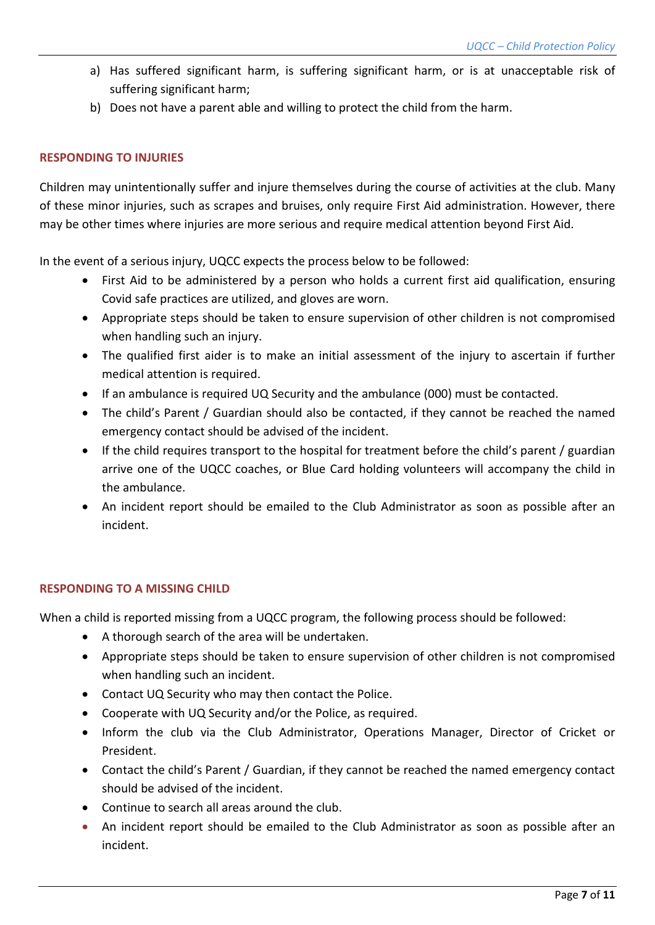- a) Has suffered significant harm, is suffering significant harm, or is at unacceptable risk of suffering significant harm;
- b) Does not have a parent able and willing to protect the child from the harm.

# **RESPONDING TO INJURIES**

Children may unintentionally suffer and injure themselves during the course of activities at the club. Many of these minor injuries, such as scrapes and bruises, only require First Aid administration. However, there may be other times where injuries are more serious and require medical attention beyond First Aid.

In the event of a serious injury, UQCC expects the process below to be followed:

- First Aid to be administered by a person who holds a current first aid qualification, ensuring Covid safe practices are utilized, and gloves are worn.
- Appropriate steps should be taken to ensure supervision of other children is not compromised when handling such an injury.
- The qualified first aider is to make an initial assessment of the injury to ascertain if further medical attention is required.
- If an ambulance is required UQ Security and the ambulance (000) must be contacted.
- The child's Parent / Guardian should also be contacted, if they cannot be reached the named emergency contact should be advised of the incident.
- If the child requires transport to the hospital for treatment before the child's parent / guardian arrive one of the UQCC coaches, or Blue Card holding volunteers will accompany the child in the ambulance.
- An incident report should be emailed to the Club Administrator as soon as possible after an incident.

# **RESPONDING TO A MISSING CHILD**

When a child is reported missing from a UQCC program, the following process should be followed:

- A thorough search of the area will be undertaken.
- Appropriate steps should be taken to ensure supervision of other children is not compromised when handling such an incident.
- Contact UQ Security who may then contact the Police.
- Cooperate with UQ Security and/or the Police, as required.
- Inform the club via the Club Administrator, Operations Manager, Director of Cricket or President.
- Contact the child's Parent / Guardian, if they cannot be reached the named emergency contact should be advised of the incident.
- Continue to search all areas around the club.
- An incident report should be emailed to the Club Administrator as soon as possible after an incident.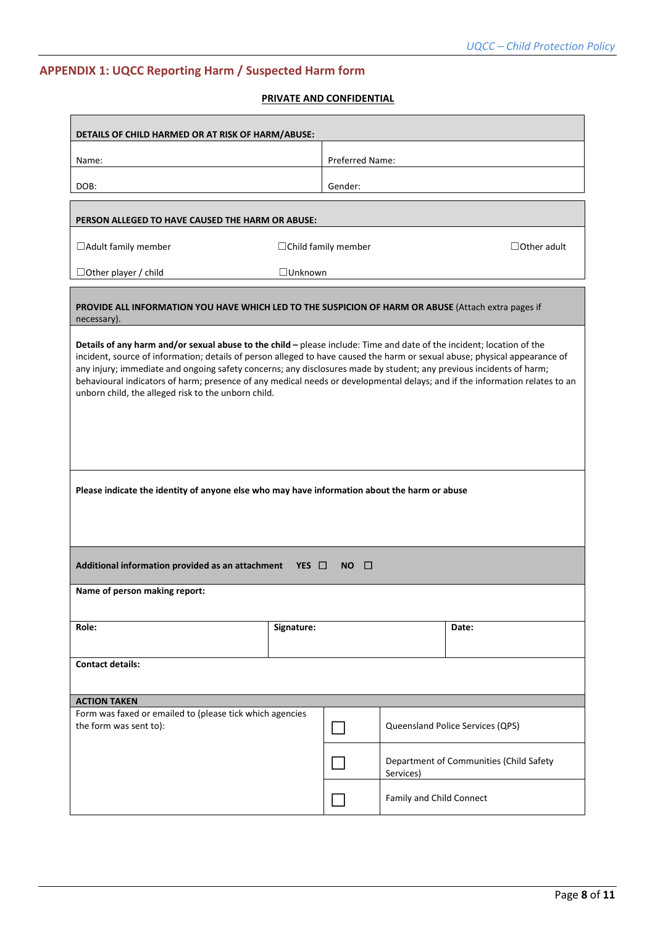# **APPENDIX 1: UQCC Reporting Harm / Suspected Harm form**

# **PRIVATE AND CONFIDENTIAL**

| <b>Preferred Name:</b><br>Name:<br>DOB:<br>Gender:<br>PERSON ALLEGED TO HAVE CAUSED THE HARM OR ABUSE:<br>$\Box$ Other adult<br>$\Box$ Adult family member<br>$\Box$ Child family member<br>$\Box$ Other player / child<br>$\Box$ Unknown<br>PROVIDE ALL INFORMATION YOU HAVE WHICH LED TO THE SUSPICION OF HARM OR ABUSE (Attach extra pages if<br>necessary).<br>Details of any harm and/or sexual abuse to the child - please include: Time and date of the incident; location of the<br>incident, source of information; details of person alleged to have caused the harm or sexual abuse; physical appearance of<br>any injury; immediate and ongoing safety concerns; any disclosures made by student; any previous incidents of harm;<br>behavioural indicators of harm; presence of any medical needs or developmental delays; and if the information relates to an<br>unborn child, the alleged risk to the unborn child.<br>Please indicate the identity of anyone else who may have information about the harm or abuse<br>Additional information provided as an attachment YES $\Box$<br>- 0<br><b>NO</b><br>Name of person making report:<br>Role:<br>Signature:<br>Date:<br><b>Contact details:</b><br><b>ACTION TAKEN</b><br>Form was faxed or emailed to (please tick which agencies<br>Queensland Police Services (QPS)<br>Department of Communities (Child Safety<br>Services)<br>Family and Child Connect | DETAILS OF CHILD HARMED OR AT RISK OF HARM/ABUSE: |  |  |  |  |  |
|-------------------------------------------------------------------------------------------------------------------------------------------------------------------------------------------------------------------------------------------------------------------------------------------------------------------------------------------------------------------------------------------------------------------------------------------------------------------------------------------------------------------------------------------------------------------------------------------------------------------------------------------------------------------------------------------------------------------------------------------------------------------------------------------------------------------------------------------------------------------------------------------------------------------------------------------------------------------------------------------------------------------------------------------------------------------------------------------------------------------------------------------------------------------------------------------------------------------------------------------------------------------------------------------------------------------------------------------------------------------------------------------------------------------------------|---------------------------------------------------|--|--|--|--|--|
|                                                                                                                                                                                                                                                                                                                                                                                                                                                                                                                                                                                                                                                                                                                                                                                                                                                                                                                                                                                                                                                                                                                                                                                                                                                                                                                                                                                                                               |                                                   |  |  |  |  |  |
|                                                                                                                                                                                                                                                                                                                                                                                                                                                                                                                                                                                                                                                                                                                                                                                                                                                                                                                                                                                                                                                                                                                                                                                                                                                                                                                                                                                                                               |                                                   |  |  |  |  |  |
|                                                                                                                                                                                                                                                                                                                                                                                                                                                                                                                                                                                                                                                                                                                                                                                                                                                                                                                                                                                                                                                                                                                                                                                                                                                                                                                                                                                                                               |                                                   |  |  |  |  |  |
|                                                                                                                                                                                                                                                                                                                                                                                                                                                                                                                                                                                                                                                                                                                                                                                                                                                                                                                                                                                                                                                                                                                                                                                                                                                                                                                                                                                                                               |                                                   |  |  |  |  |  |
|                                                                                                                                                                                                                                                                                                                                                                                                                                                                                                                                                                                                                                                                                                                                                                                                                                                                                                                                                                                                                                                                                                                                                                                                                                                                                                                                                                                                                               |                                                   |  |  |  |  |  |
|                                                                                                                                                                                                                                                                                                                                                                                                                                                                                                                                                                                                                                                                                                                                                                                                                                                                                                                                                                                                                                                                                                                                                                                                                                                                                                                                                                                                                               |                                                   |  |  |  |  |  |
|                                                                                                                                                                                                                                                                                                                                                                                                                                                                                                                                                                                                                                                                                                                                                                                                                                                                                                                                                                                                                                                                                                                                                                                                                                                                                                                                                                                                                               |                                                   |  |  |  |  |  |
|                                                                                                                                                                                                                                                                                                                                                                                                                                                                                                                                                                                                                                                                                                                                                                                                                                                                                                                                                                                                                                                                                                                                                                                                                                                                                                                                                                                                                               |                                                   |  |  |  |  |  |
|                                                                                                                                                                                                                                                                                                                                                                                                                                                                                                                                                                                                                                                                                                                                                                                                                                                                                                                                                                                                                                                                                                                                                                                                                                                                                                                                                                                                                               |                                                   |  |  |  |  |  |
|                                                                                                                                                                                                                                                                                                                                                                                                                                                                                                                                                                                                                                                                                                                                                                                                                                                                                                                                                                                                                                                                                                                                                                                                                                                                                                                                                                                                                               |                                                   |  |  |  |  |  |
|                                                                                                                                                                                                                                                                                                                                                                                                                                                                                                                                                                                                                                                                                                                                                                                                                                                                                                                                                                                                                                                                                                                                                                                                                                                                                                                                                                                                                               |                                                   |  |  |  |  |  |
|                                                                                                                                                                                                                                                                                                                                                                                                                                                                                                                                                                                                                                                                                                                                                                                                                                                                                                                                                                                                                                                                                                                                                                                                                                                                                                                                                                                                                               |                                                   |  |  |  |  |  |
|                                                                                                                                                                                                                                                                                                                                                                                                                                                                                                                                                                                                                                                                                                                                                                                                                                                                                                                                                                                                                                                                                                                                                                                                                                                                                                                                                                                                                               |                                                   |  |  |  |  |  |
|                                                                                                                                                                                                                                                                                                                                                                                                                                                                                                                                                                                                                                                                                                                                                                                                                                                                                                                                                                                                                                                                                                                                                                                                                                                                                                                                                                                                                               | the form was sent to):                            |  |  |  |  |  |
|                                                                                                                                                                                                                                                                                                                                                                                                                                                                                                                                                                                                                                                                                                                                                                                                                                                                                                                                                                                                                                                                                                                                                                                                                                                                                                                                                                                                                               |                                                   |  |  |  |  |  |
|                                                                                                                                                                                                                                                                                                                                                                                                                                                                                                                                                                                                                                                                                                                                                                                                                                                                                                                                                                                                                                                                                                                                                                                                                                                                                                                                                                                                                               |                                                   |  |  |  |  |  |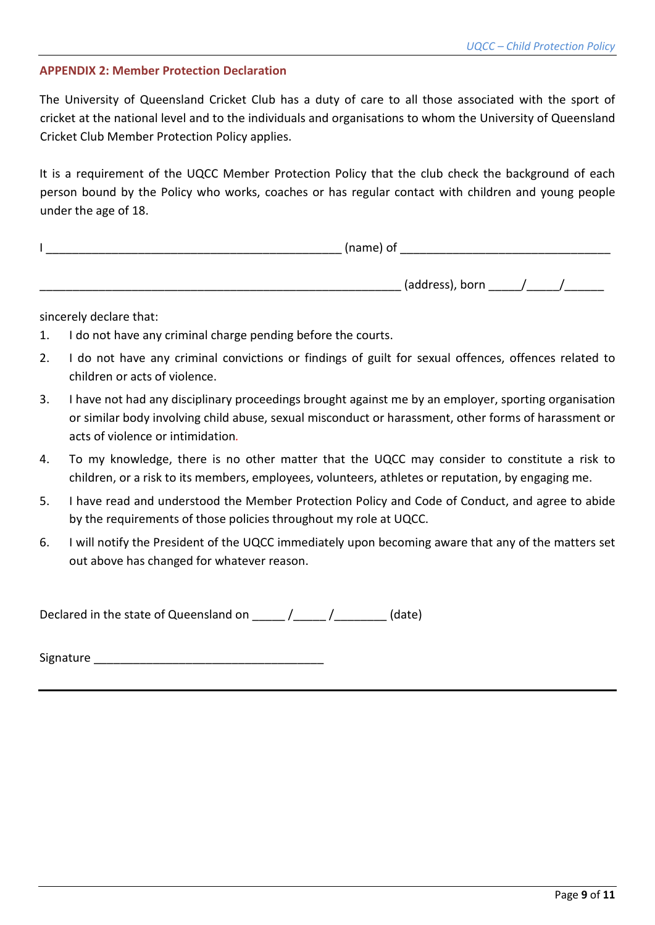#### **APPENDIX 2: Member Protection Declaration**

The University of Queensland Cricket Club has a duty of care to all those associated with the sport of cricket at the national level and to the individuals and organisations to whom the University of Queensland Cricket Club Member Protection Policy applies.

It is a requirement of the UQCC Member Protection Policy that the club check the background of each person bound by the Policy who works, coaches or has regular contact with children and young people under the age of 18.

| (name) of |                 |  |  |
|-----------|-----------------|--|--|
|           |                 |  |  |
|           | (address), born |  |  |

sincerely declare that:

- 1. I do not have any criminal charge pending before the courts.
- 2. I do not have any criminal convictions or findings of guilt for sexual offences, offences related to children or acts of violence.
- 3. I have not had any disciplinary proceedings brought against me by an employer, sporting organisation or similar body involving child abuse, sexual misconduct or harassment, other forms of harassment or acts of violence or intimidation*.*
- 4. To my knowledge, there is no other matter that the UQCC may consider to constitute a risk to children, or a risk to its members, employees, volunteers, athletes or reputation, by engaging me.
- 5. I have read and understood the Member Protection Policy and Code of Conduct, and agree to abide by the requirements of those policies throughout my role at UQCC.
- 6. I will notify the President of the UQCC immediately upon becoming aware that any of the matters set out above has changed for whatever reason.

Declared in the state of Queensland on  $\frac{1}{\sqrt{1-\frac{1}{\sqrt{1-\frac{1}{\sqrt{1-\frac{1}{\sqrt{1-\frac{1}{\sqrt{1-\frac{1}{\sqrt{1-\frac{1}{\sqrt{1-\frac{1}{\sqrt{1-\frac{1}{\sqrt{1-\frac{1}{\sqrt{1-\frac{1}{\sqrt{1-\frac{1}{\sqrt{1-\frac{1}{\sqrt{1-\frac{1}{\sqrt{1-\frac{1}{\sqrt{1-\frac{1}{\sqrt{1-\frac{1}{\sqrt{1-\frac{1}{\sqrt{1-\frac{1}{\sqrt{1-\frac{1}{\sqrt{1-\$ 

Signature \_\_\_\_\_\_\_\_\_\_\_\_\_\_\_\_\_\_\_\_\_\_\_\_\_\_\_\_\_\_\_\_\_\_\_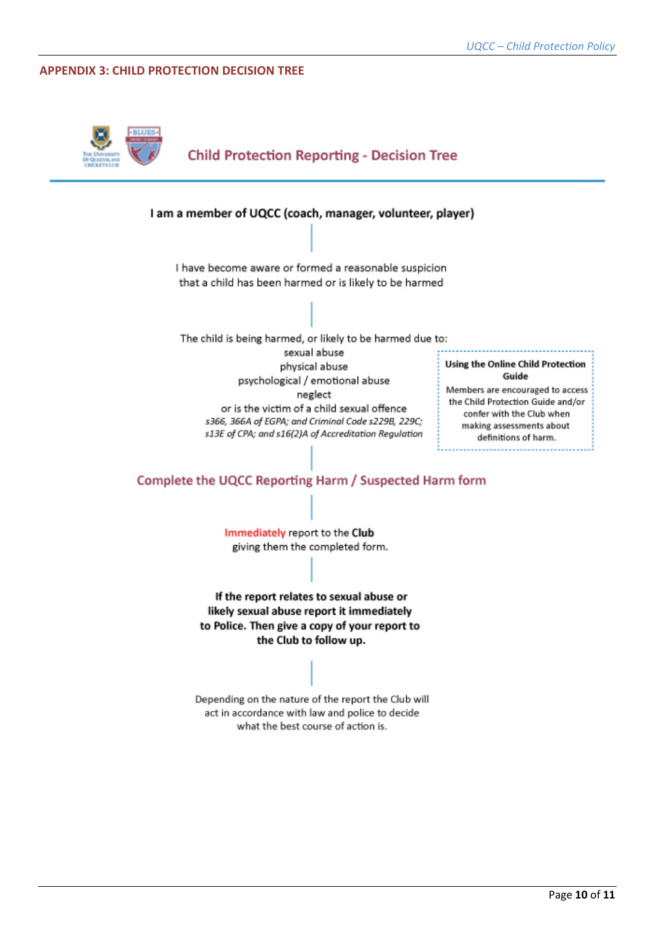#### **APPENDIX 3: CHILD PROTECTION DECISION TREE**